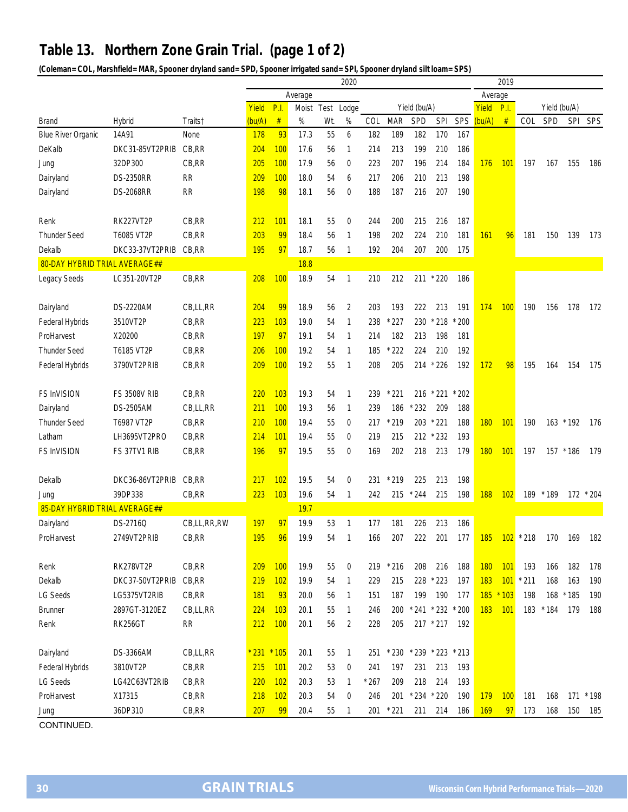## **Table 13. Northern Zone Grain Trial. (page 1 of 2)**

**(Coleman= COL, Marshfield= MAR, Spooner dryland sand= SPD, Spooner irrigated sand= SPI, Spooner dryland silt loam= SPS)**

| Average<br>Average<br>Yield<br>P.I.<br>Yield (bu/A)<br>P.I.<br>Yield (bu/A)<br>Moist<br>Lodge<br>Yield<br>Test<br>#<br>%<br>%<br><b>MAR</b><br>SPD<br><b>SPI</b><br>SPS<br>(bu/A)<br>#<br>SPD<br><b>SPI</b><br>SPS<br>(bu/A)<br>Wt.<br>COL<br>COL<br><b>Brand</b><br>Hybrid<br>Traits†<br>93<br>55<br>182<br>170<br>167<br>14A91<br>178<br>17.3<br>6<br>182<br>189<br><b>Blue River Organic</b><br>None<br>DKC31-85VT2PRIB<br>CB,RR<br>100<br>199<br>DeKalb<br>204<br>17.6<br>214<br>213<br>210<br>186<br>56<br>1<br>100<br>32DP300<br>CB,RR<br>205<br>17.9<br>56<br>223<br>207<br>196<br>214<br>184<br>176<br>101<br>0<br>197<br>167<br>155<br>186<br>Jung<br>100<br>18.0<br>206<br>213<br>198<br>Dairyland<br><b>DS-2350RR</b><br><b>RR</b><br>209<br>54<br>217<br>210<br>6<br><b>DS-2068RR</b><br>RR<br>198<br>98<br>18.1<br>188<br>187<br>207<br>190<br>56<br>216<br>Dairyland<br>0<br>CB, RR<br>101<br>RK227VT2P<br>212<br>18.1<br>55<br>0<br>244<br>200<br>215<br>216<br>187<br>Renk<br>CB,RR<br>203<br>99<br><b>Thunder Seed</b><br>T6085 VT2P<br>18.4<br>198<br>202<br>224<br>210<br>181<br>161<br>96<br>56<br>1<br>181<br>150<br>139<br>173<br>195<br>97<br>Dekalb<br>DKC33-37VT2PRIB<br>CB, RR<br>18.7<br>56<br>192<br>204<br>207<br>200<br>175<br>1<br>80-DAY HYBRID TRIAL AVERAGE##<br>18.8<br>100<br>CB,RR<br>208<br>18.9<br>54<br>210<br>212<br>$*220$<br>LC351-20VT2P<br>$\mathbf{1}$<br>211<br>186<br>Legacy Seeds<br>204<br>99<br>$\overline{2}$<br>100<br>DS-2220AM<br>CB,LL,RR<br>18.9<br>56<br>203<br>193<br>222<br>213<br>191<br>174<br>190<br>156<br>178<br>172<br>Dairyland<br>3510VT2P<br>CB, RR<br>223<br>103<br>238<br>200<br>Federal Hybrids<br>19.0<br>54<br>1<br>$*227$<br>230<br>$*218$<br><b>197</b><br>97<br>182<br>ProHarvest<br>X20200<br>CB, RR<br>19.1<br>54<br>214<br>213<br>198<br>181<br>1<br>T6185 VT2P<br>CB, RR<br>100<br>19.2<br>222<br>224<br>210<br><b>Thunder Seed</b><br>206<br>54<br>185<br>192<br>1<br>209<br>100<br>3790VT2PRIB<br>CB, RR<br>19.2<br>55<br>208<br>205<br>214<br>$*226$<br>192<br>172<br>98<br>195<br>175<br>Federal Hybrids<br>1<br>164<br>154<br>CB,RR<br>220<br>103<br><b>FS InVISION</b><br><b>FS 3508V RIB</b><br>19.3<br>54<br>239<br>221<br>216<br>$*221$<br>$*202$<br>1<br>211<br>100<br>Dairyland<br><b>DS-2505AM</b><br>CB,LL,RR<br>19.3<br>56<br>239<br>186<br>$*232$<br>209<br>188<br>$\mathbf{1}$<br>100<br>203<br>$*221$<br><b>Thunder Seed</b><br>T6987 VT2P<br>CB, RR<br>210<br>19.4<br>55<br>0<br>217<br>$*219$<br>188<br><b>180</b><br>101<br>190<br>163 * 192<br>176<br>LH3695VT2PRO<br>CB,RR<br>101<br>215<br>212 * 232<br>214<br>19.4<br>55<br>219<br>193<br>Latham<br>0<br><b>FS InVISION</b><br>FS 37TV1 RIB<br>CB,RR<br>196<br>97<br>19.5<br>55<br>169<br>202<br>218<br>213<br>179<br><b>180</b><br>101<br>179<br>0<br>197<br>157 * 186<br>102<br>DKC36-86VT2PRIB<br>CB,RR<br>217<br>19.5<br>$*219$<br>225<br>213<br>198<br>Dekalb<br>54<br>0<br>231<br>223<br>103<br>188<br>39DP338<br>CB, RR<br>19.6<br>242<br>215<br>$*244$<br>215<br>198<br>102<br>189<br>$*189$<br>172 * 204<br>54<br>1<br>Jung<br>85-DAY HYBRID TRIAL AVERAGE##<br>19.7<br>CB,LL,RR,RW<br>197<br>97<br>19.9<br>53<br>177<br>181<br>226<br>213<br>186<br>DS-2716Q<br>Dairyland<br>1<br>2749VT2PRIB<br>CB,RR<br>195<br>96<br>19.9<br>166<br>207<br>222<br>201<br>177<br>$185$ $102$ $*$ 218<br>ProHarvest<br>54<br>170<br>169<br>1<br>182<br>RK278VT2P<br>209<br>100<br>180<br>CB, RR<br>19.9<br>55<br>0<br>219<br>$*216$<br>208<br>216<br>188<br>101<br>193<br>166<br>182<br>178<br>Renk<br>219<br>Dekalb<br>CB, RR<br>102<br>19.9<br>229<br>215<br>228 * 223<br>197<br><b>183</b><br>101<br>$*211$<br>168<br>190<br>DKC37-50VT2PRIB<br>54<br>163<br>1<br><b>LG Seeds</b><br>CB,RR<br><b>181</b><br>93<br>199<br>190<br>185<br>$*103$<br>168 * 185<br>LG5375VT2RIB<br>20.0<br>151<br>187<br>177<br>198<br>190<br>56<br>$\mathbf{1}$<br>101<br><b>Brunner</b><br>2897GT-3120EZ<br>CB,LL,RR<br>224<br>103<br>20.1<br>55<br>246<br>200<br>$* 241 * 232$<br>$*200$<br>183<br>183<br>$*184$<br>179<br>188<br>1<br><b>RK256GT</b><br><b>RR</b><br>212<br><b>100</b><br>20.1<br>56<br>228<br>205<br>217 * 217<br>192<br>Renk<br>2<br>Dairyland<br>DS-3366AM<br>CB,LL,RR<br>$231 * 105$<br>20.1<br>$*230$<br>$*239 * 223$<br>55<br>251<br>$*213$<br>1<br>CB, RR<br>3810VT2P<br>215<br>101<br>197<br>231<br>213<br>Federal Hybrids<br>20.2<br>53<br>241<br>193<br>0<br>102<br>218<br>214<br>LG Seeds<br>CB,RR<br>220<br>20.3<br>53<br>$*267$<br>209<br>193<br>LG42C63VT2RIB<br>1<br>ProHarvest<br>218<br>$*234$<br>X17315<br>CB,RR<br>102<br>20.3<br>54<br>246<br>201<br>$*220$<br>190<br>179<br><b>100</b><br>181<br>168<br>171<br>$*198$<br>$\boldsymbol{0}$<br>207<br>36DP310<br>CB,RR<br>99<br>$*221$<br>211<br>214<br><b>169</b><br>173<br>168<br>150<br>185<br>20.4<br>55<br>201<br>186<br>97<br>1<br>Jung |  | 2020 |  |  |  |  |  |  |  |  |  |  | 2019 |  |  |  |  |  |  |
|-----------------------------------------------------------------------------------------------------------------------------------------------------------------------------------------------------------------------------------------------------------------------------------------------------------------------------------------------------------------------------------------------------------------------------------------------------------------------------------------------------------------------------------------------------------------------------------------------------------------------------------------------------------------------------------------------------------------------------------------------------------------------------------------------------------------------------------------------------------------------------------------------------------------------------------------------------------------------------------------------------------------------------------------------------------------------------------------------------------------------------------------------------------------------------------------------------------------------------------------------------------------------------------------------------------------------------------------------------------------------------------------------------------------------------------------------------------------------------------------------------------------------------------------------------------------------------------------------------------------------------------------------------------------------------------------------------------------------------------------------------------------------------------------------------------------------------------------------------------------------------------------------------------------------------------------------------------------------------------------------------------------------------------------------------------------------------------------------------------------------------------------------------------------------------------------------------------------------------------------------------------------------------------------------------------------------------------------------------------------------------------------------------------------------------------------------------------------------------------------------------------------------------------------------------------------------------------------------------------------------------------------------------------------------------------------------------------------------------------------------------------------------------------------------------------------------------------------------------------------------------------------------------------------------------------------------------------------------------------------------------------------------------------------------------------------------------------------------------------------------------------------------------------------------------------------------------------------------------------------------------------------------------------------------------------------------------------------------------------------------------------------------------------------------------------------------------------------------------------------------------------------------------------------------------------------------------------------------------------------------------------------------------------------------------------------------------------------------------------------------------------------------------------------------------------------------------------------------------------------------------------------------------------------------------------------------------------------------------------------------------------------------------------------------------------------------------------------------------------------------------------------------------------------------------------------------------------------------------------------------------------------------------------------------------------------------------------------------------------------------------------------------------------------------------------------------------------------------------------------------------------------------------------------------------------------------------------------------------------------------------------------------------------------------------------------------------------------------------------------------------------------------------------------------------------------------------------------------------------------------|--|------|--|--|--|--|--|--|--|--|--|--|------|--|--|--|--|--|--|
|                                                                                                                                                                                                                                                                                                                                                                                                                                                                                                                                                                                                                                                                                                                                                                                                                                                                                                                                                                                                                                                                                                                                                                                                                                                                                                                                                                                                                                                                                                                                                                                                                                                                                                                                                                                                                                                                                                                                                                                                                                                                                                                                                                                                                                                                                                                                                                                                                                                                                                                                                                                                                                                                                                                                                                                                                                                                                                                                                                                                                                                                                                                                                                                                                                                                                                                                                                                                                                                                                                                                                                                                                                                                                                                                                                                                                                                                                                                                                                                                                                                                                                                                                                                                                                                                                                                                                                                                                                                                                                                                                                                                                                                                                                                                                                                                                                                                       |  |      |  |  |  |  |  |  |  |  |  |  |      |  |  |  |  |  |  |
|                                                                                                                                                                                                                                                                                                                                                                                                                                                                                                                                                                                                                                                                                                                                                                                                                                                                                                                                                                                                                                                                                                                                                                                                                                                                                                                                                                                                                                                                                                                                                                                                                                                                                                                                                                                                                                                                                                                                                                                                                                                                                                                                                                                                                                                                                                                                                                                                                                                                                                                                                                                                                                                                                                                                                                                                                                                                                                                                                                                                                                                                                                                                                                                                                                                                                                                                                                                                                                                                                                                                                                                                                                                                                                                                                                                                                                                                                                                                                                                                                                                                                                                                                                                                                                                                                                                                                                                                                                                                                                                                                                                                                                                                                                                                                                                                                                                                       |  |      |  |  |  |  |  |  |  |  |  |  |      |  |  |  |  |  |  |
|                                                                                                                                                                                                                                                                                                                                                                                                                                                                                                                                                                                                                                                                                                                                                                                                                                                                                                                                                                                                                                                                                                                                                                                                                                                                                                                                                                                                                                                                                                                                                                                                                                                                                                                                                                                                                                                                                                                                                                                                                                                                                                                                                                                                                                                                                                                                                                                                                                                                                                                                                                                                                                                                                                                                                                                                                                                                                                                                                                                                                                                                                                                                                                                                                                                                                                                                                                                                                                                                                                                                                                                                                                                                                                                                                                                                                                                                                                                                                                                                                                                                                                                                                                                                                                                                                                                                                                                                                                                                                                                                                                                                                                                                                                                                                                                                                                                                       |  |      |  |  |  |  |  |  |  |  |  |  |      |  |  |  |  |  |  |
|                                                                                                                                                                                                                                                                                                                                                                                                                                                                                                                                                                                                                                                                                                                                                                                                                                                                                                                                                                                                                                                                                                                                                                                                                                                                                                                                                                                                                                                                                                                                                                                                                                                                                                                                                                                                                                                                                                                                                                                                                                                                                                                                                                                                                                                                                                                                                                                                                                                                                                                                                                                                                                                                                                                                                                                                                                                                                                                                                                                                                                                                                                                                                                                                                                                                                                                                                                                                                                                                                                                                                                                                                                                                                                                                                                                                                                                                                                                                                                                                                                                                                                                                                                                                                                                                                                                                                                                                                                                                                                                                                                                                                                                                                                                                                                                                                                                                       |  |      |  |  |  |  |  |  |  |  |  |  |      |  |  |  |  |  |  |
|                                                                                                                                                                                                                                                                                                                                                                                                                                                                                                                                                                                                                                                                                                                                                                                                                                                                                                                                                                                                                                                                                                                                                                                                                                                                                                                                                                                                                                                                                                                                                                                                                                                                                                                                                                                                                                                                                                                                                                                                                                                                                                                                                                                                                                                                                                                                                                                                                                                                                                                                                                                                                                                                                                                                                                                                                                                                                                                                                                                                                                                                                                                                                                                                                                                                                                                                                                                                                                                                                                                                                                                                                                                                                                                                                                                                                                                                                                                                                                                                                                                                                                                                                                                                                                                                                                                                                                                                                                                                                                                                                                                                                                                                                                                                                                                                                                                                       |  |      |  |  |  |  |  |  |  |  |  |  |      |  |  |  |  |  |  |
|                                                                                                                                                                                                                                                                                                                                                                                                                                                                                                                                                                                                                                                                                                                                                                                                                                                                                                                                                                                                                                                                                                                                                                                                                                                                                                                                                                                                                                                                                                                                                                                                                                                                                                                                                                                                                                                                                                                                                                                                                                                                                                                                                                                                                                                                                                                                                                                                                                                                                                                                                                                                                                                                                                                                                                                                                                                                                                                                                                                                                                                                                                                                                                                                                                                                                                                                                                                                                                                                                                                                                                                                                                                                                                                                                                                                                                                                                                                                                                                                                                                                                                                                                                                                                                                                                                                                                                                                                                                                                                                                                                                                                                                                                                                                                                                                                                                                       |  |      |  |  |  |  |  |  |  |  |  |  |      |  |  |  |  |  |  |
|                                                                                                                                                                                                                                                                                                                                                                                                                                                                                                                                                                                                                                                                                                                                                                                                                                                                                                                                                                                                                                                                                                                                                                                                                                                                                                                                                                                                                                                                                                                                                                                                                                                                                                                                                                                                                                                                                                                                                                                                                                                                                                                                                                                                                                                                                                                                                                                                                                                                                                                                                                                                                                                                                                                                                                                                                                                                                                                                                                                                                                                                                                                                                                                                                                                                                                                                                                                                                                                                                                                                                                                                                                                                                                                                                                                                                                                                                                                                                                                                                                                                                                                                                                                                                                                                                                                                                                                                                                                                                                                                                                                                                                                                                                                                                                                                                                                                       |  |      |  |  |  |  |  |  |  |  |  |  |      |  |  |  |  |  |  |
|                                                                                                                                                                                                                                                                                                                                                                                                                                                                                                                                                                                                                                                                                                                                                                                                                                                                                                                                                                                                                                                                                                                                                                                                                                                                                                                                                                                                                                                                                                                                                                                                                                                                                                                                                                                                                                                                                                                                                                                                                                                                                                                                                                                                                                                                                                                                                                                                                                                                                                                                                                                                                                                                                                                                                                                                                                                                                                                                                                                                                                                                                                                                                                                                                                                                                                                                                                                                                                                                                                                                                                                                                                                                                                                                                                                                                                                                                                                                                                                                                                                                                                                                                                                                                                                                                                                                                                                                                                                                                                                                                                                                                                                                                                                                                                                                                                                                       |  |      |  |  |  |  |  |  |  |  |  |  |      |  |  |  |  |  |  |
|                                                                                                                                                                                                                                                                                                                                                                                                                                                                                                                                                                                                                                                                                                                                                                                                                                                                                                                                                                                                                                                                                                                                                                                                                                                                                                                                                                                                                                                                                                                                                                                                                                                                                                                                                                                                                                                                                                                                                                                                                                                                                                                                                                                                                                                                                                                                                                                                                                                                                                                                                                                                                                                                                                                                                                                                                                                                                                                                                                                                                                                                                                                                                                                                                                                                                                                                                                                                                                                                                                                                                                                                                                                                                                                                                                                                                                                                                                                                                                                                                                                                                                                                                                                                                                                                                                                                                                                                                                                                                                                                                                                                                                                                                                                                                                                                                                                                       |  |      |  |  |  |  |  |  |  |  |  |  |      |  |  |  |  |  |  |
|                                                                                                                                                                                                                                                                                                                                                                                                                                                                                                                                                                                                                                                                                                                                                                                                                                                                                                                                                                                                                                                                                                                                                                                                                                                                                                                                                                                                                                                                                                                                                                                                                                                                                                                                                                                                                                                                                                                                                                                                                                                                                                                                                                                                                                                                                                                                                                                                                                                                                                                                                                                                                                                                                                                                                                                                                                                                                                                                                                                                                                                                                                                                                                                                                                                                                                                                                                                                                                                                                                                                                                                                                                                                                                                                                                                                                                                                                                                                                                                                                                                                                                                                                                                                                                                                                                                                                                                                                                                                                                                                                                                                                                                                                                                                                                                                                                                                       |  |      |  |  |  |  |  |  |  |  |  |  |      |  |  |  |  |  |  |
|                                                                                                                                                                                                                                                                                                                                                                                                                                                                                                                                                                                                                                                                                                                                                                                                                                                                                                                                                                                                                                                                                                                                                                                                                                                                                                                                                                                                                                                                                                                                                                                                                                                                                                                                                                                                                                                                                                                                                                                                                                                                                                                                                                                                                                                                                                                                                                                                                                                                                                                                                                                                                                                                                                                                                                                                                                                                                                                                                                                                                                                                                                                                                                                                                                                                                                                                                                                                                                                                                                                                                                                                                                                                                                                                                                                                                                                                                                                                                                                                                                                                                                                                                                                                                                                                                                                                                                                                                                                                                                                                                                                                                                                                                                                                                                                                                                                                       |  |      |  |  |  |  |  |  |  |  |  |  |      |  |  |  |  |  |  |
|                                                                                                                                                                                                                                                                                                                                                                                                                                                                                                                                                                                                                                                                                                                                                                                                                                                                                                                                                                                                                                                                                                                                                                                                                                                                                                                                                                                                                                                                                                                                                                                                                                                                                                                                                                                                                                                                                                                                                                                                                                                                                                                                                                                                                                                                                                                                                                                                                                                                                                                                                                                                                                                                                                                                                                                                                                                                                                                                                                                                                                                                                                                                                                                                                                                                                                                                                                                                                                                                                                                                                                                                                                                                                                                                                                                                                                                                                                                                                                                                                                                                                                                                                                                                                                                                                                                                                                                                                                                                                                                                                                                                                                                                                                                                                                                                                                                                       |  |      |  |  |  |  |  |  |  |  |  |  |      |  |  |  |  |  |  |
|                                                                                                                                                                                                                                                                                                                                                                                                                                                                                                                                                                                                                                                                                                                                                                                                                                                                                                                                                                                                                                                                                                                                                                                                                                                                                                                                                                                                                                                                                                                                                                                                                                                                                                                                                                                                                                                                                                                                                                                                                                                                                                                                                                                                                                                                                                                                                                                                                                                                                                                                                                                                                                                                                                                                                                                                                                                                                                                                                                                                                                                                                                                                                                                                                                                                                                                                                                                                                                                                                                                                                                                                                                                                                                                                                                                                                                                                                                                                                                                                                                                                                                                                                                                                                                                                                                                                                                                                                                                                                                                                                                                                                                                                                                                                                                                                                                                                       |  |      |  |  |  |  |  |  |  |  |  |  |      |  |  |  |  |  |  |
|                                                                                                                                                                                                                                                                                                                                                                                                                                                                                                                                                                                                                                                                                                                                                                                                                                                                                                                                                                                                                                                                                                                                                                                                                                                                                                                                                                                                                                                                                                                                                                                                                                                                                                                                                                                                                                                                                                                                                                                                                                                                                                                                                                                                                                                                                                                                                                                                                                                                                                                                                                                                                                                                                                                                                                                                                                                                                                                                                                                                                                                                                                                                                                                                                                                                                                                                                                                                                                                                                                                                                                                                                                                                                                                                                                                                                                                                                                                                                                                                                                                                                                                                                                                                                                                                                                                                                                                                                                                                                                                                                                                                                                                                                                                                                                                                                                                                       |  |      |  |  |  |  |  |  |  |  |  |  |      |  |  |  |  |  |  |
|                                                                                                                                                                                                                                                                                                                                                                                                                                                                                                                                                                                                                                                                                                                                                                                                                                                                                                                                                                                                                                                                                                                                                                                                                                                                                                                                                                                                                                                                                                                                                                                                                                                                                                                                                                                                                                                                                                                                                                                                                                                                                                                                                                                                                                                                                                                                                                                                                                                                                                                                                                                                                                                                                                                                                                                                                                                                                                                                                                                                                                                                                                                                                                                                                                                                                                                                                                                                                                                                                                                                                                                                                                                                                                                                                                                                                                                                                                                                                                                                                                                                                                                                                                                                                                                                                                                                                                                                                                                                                                                                                                                                                                                                                                                                                                                                                                                                       |  |      |  |  |  |  |  |  |  |  |  |  |      |  |  |  |  |  |  |
|                                                                                                                                                                                                                                                                                                                                                                                                                                                                                                                                                                                                                                                                                                                                                                                                                                                                                                                                                                                                                                                                                                                                                                                                                                                                                                                                                                                                                                                                                                                                                                                                                                                                                                                                                                                                                                                                                                                                                                                                                                                                                                                                                                                                                                                                                                                                                                                                                                                                                                                                                                                                                                                                                                                                                                                                                                                                                                                                                                                                                                                                                                                                                                                                                                                                                                                                                                                                                                                                                                                                                                                                                                                                                                                                                                                                                                                                                                                                                                                                                                                                                                                                                                                                                                                                                                                                                                                                                                                                                                                                                                                                                                                                                                                                                                                                                                                                       |  |      |  |  |  |  |  |  |  |  |  |  |      |  |  |  |  |  |  |
|                                                                                                                                                                                                                                                                                                                                                                                                                                                                                                                                                                                                                                                                                                                                                                                                                                                                                                                                                                                                                                                                                                                                                                                                                                                                                                                                                                                                                                                                                                                                                                                                                                                                                                                                                                                                                                                                                                                                                                                                                                                                                                                                                                                                                                                                                                                                                                                                                                                                                                                                                                                                                                                                                                                                                                                                                                                                                                                                                                                                                                                                                                                                                                                                                                                                                                                                                                                                                                                                                                                                                                                                                                                                                                                                                                                                                                                                                                                                                                                                                                                                                                                                                                                                                                                                                                                                                                                                                                                                                                                                                                                                                                                                                                                                                                                                                                                                       |  |      |  |  |  |  |  |  |  |  |  |  |      |  |  |  |  |  |  |
|                                                                                                                                                                                                                                                                                                                                                                                                                                                                                                                                                                                                                                                                                                                                                                                                                                                                                                                                                                                                                                                                                                                                                                                                                                                                                                                                                                                                                                                                                                                                                                                                                                                                                                                                                                                                                                                                                                                                                                                                                                                                                                                                                                                                                                                                                                                                                                                                                                                                                                                                                                                                                                                                                                                                                                                                                                                                                                                                                                                                                                                                                                                                                                                                                                                                                                                                                                                                                                                                                                                                                                                                                                                                                                                                                                                                                                                                                                                                                                                                                                                                                                                                                                                                                                                                                                                                                                                                                                                                                                                                                                                                                                                                                                                                                                                                                                                                       |  |      |  |  |  |  |  |  |  |  |  |  |      |  |  |  |  |  |  |
|                                                                                                                                                                                                                                                                                                                                                                                                                                                                                                                                                                                                                                                                                                                                                                                                                                                                                                                                                                                                                                                                                                                                                                                                                                                                                                                                                                                                                                                                                                                                                                                                                                                                                                                                                                                                                                                                                                                                                                                                                                                                                                                                                                                                                                                                                                                                                                                                                                                                                                                                                                                                                                                                                                                                                                                                                                                                                                                                                                                                                                                                                                                                                                                                                                                                                                                                                                                                                                                                                                                                                                                                                                                                                                                                                                                                                                                                                                                                                                                                                                                                                                                                                                                                                                                                                                                                                                                                                                                                                                                                                                                                                                                                                                                                                                                                                                                                       |  |      |  |  |  |  |  |  |  |  |  |  |      |  |  |  |  |  |  |
|                                                                                                                                                                                                                                                                                                                                                                                                                                                                                                                                                                                                                                                                                                                                                                                                                                                                                                                                                                                                                                                                                                                                                                                                                                                                                                                                                                                                                                                                                                                                                                                                                                                                                                                                                                                                                                                                                                                                                                                                                                                                                                                                                                                                                                                                                                                                                                                                                                                                                                                                                                                                                                                                                                                                                                                                                                                                                                                                                                                                                                                                                                                                                                                                                                                                                                                                                                                                                                                                                                                                                                                                                                                                                                                                                                                                                                                                                                                                                                                                                                                                                                                                                                                                                                                                                                                                                                                                                                                                                                                                                                                                                                                                                                                                                                                                                                                                       |  |      |  |  |  |  |  |  |  |  |  |  |      |  |  |  |  |  |  |
|                                                                                                                                                                                                                                                                                                                                                                                                                                                                                                                                                                                                                                                                                                                                                                                                                                                                                                                                                                                                                                                                                                                                                                                                                                                                                                                                                                                                                                                                                                                                                                                                                                                                                                                                                                                                                                                                                                                                                                                                                                                                                                                                                                                                                                                                                                                                                                                                                                                                                                                                                                                                                                                                                                                                                                                                                                                                                                                                                                                                                                                                                                                                                                                                                                                                                                                                                                                                                                                                                                                                                                                                                                                                                                                                                                                                                                                                                                                                                                                                                                                                                                                                                                                                                                                                                                                                                                                                                                                                                                                                                                                                                                                                                                                                                                                                                                                                       |  |      |  |  |  |  |  |  |  |  |  |  |      |  |  |  |  |  |  |
|                                                                                                                                                                                                                                                                                                                                                                                                                                                                                                                                                                                                                                                                                                                                                                                                                                                                                                                                                                                                                                                                                                                                                                                                                                                                                                                                                                                                                                                                                                                                                                                                                                                                                                                                                                                                                                                                                                                                                                                                                                                                                                                                                                                                                                                                                                                                                                                                                                                                                                                                                                                                                                                                                                                                                                                                                                                                                                                                                                                                                                                                                                                                                                                                                                                                                                                                                                                                                                                                                                                                                                                                                                                                                                                                                                                                                                                                                                                                                                                                                                                                                                                                                                                                                                                                                                                                                                                                                                                                                                                                                                                                                                                                                                                                                                                                                                                                       |  |      |  |  |  |  |  |  |  |  |  |  |      |  |  |  |  |  |  |
|                                                                                                                                                                                                                                                                                                                                                                                                                                                                                                                                                                                                                                                                                                                                                                                                                                                                                                                                                                                                                                                                                                                                                                                                                                                                                                                                                                                                                                                                                                                                                                                                                                                                                                                                                                                                                                                                                                                                                                                                                                                                                                                                                                                                                                                                                                                                                                                                                                                                                                                                                                                                                                                                                                                                                                                                                                                                                                                                                                                                                                                                                                                                                                                                                                                                                                                                                                                                                                                                                                                                                                                                                                                                                                                                                                                                                                                                                                                                                                                                                                                                                                                                                                                                                                                                                                                                                                                                                                                                                                                                                                                                                                                                                                                                                                                                                                                                       |  |      |  |  |  |  |  |  |  |  |  |  |      |  |  |  |  |  |  |
|                                                                                                                                                                                                                                                                                                                                                                                                                                                                                                                                                                                                                                                                                                                                                                                                                                                                                                                                                                                                                                                                                                                                                                                                                                                                                                                                                                                                                                                                                                                                                                                                                                                                                                                                                                                                                                                                                                                                                                                                                                                                                                                                                                                                                                                                                                                                                                                                                                                                                                                                                                                                                                                                                                                                                                                                                                                                                                                                                                                                                                                                                                                                                                                                                                                                                                                                                                                                                                                                                                                                                                                                                                                                                                                                                                                                                                                                                                                                                                                                                                                                                                                                                                                                                                                                                                                                                                                                                                                                                                                                                                                                                                                                                                                                                                                                                                                                       |  |      |  |  |  |  |  |  |  |  |  |  |      |  |  |  |  |  |  |
|                                                                                                                                                                                                                                                                                                                                                                                                                                                                                                                                                                                                                                                                                                                                                                                                                                                                                                                                                                                                                                                                                                                                                                                                                                                                                                                                                                                                                                                                                                                                                                                                                                                                                                                                                                                                                                                                                                                                                                                                                                                                                                                                                                                                                                                                                                                                                                                                                                                                                                                                                                                                                                                                                                                                                                                                                                                                                                                                                                                                                                                                                                                                                                                                                                                                                                                                                                                                                                                                                                                                                                                                                                                                                                                                                                                                                                                                                                                                                                                                                                                                                                                                                                                                                                                                                                                                                                                                                                                                                                                                                                                                                                                                                                                                                                                                                                                                       |  |      |  |  |  |  |  |  |  |  |  |  |      |  |  |  |  |  |  |
|                                                                                                                                                                                                                                                                                                                                                                                                                                                                                                                                                                                                                                                                                                                                                                                                                                                                                                                                                                                                                                                                                                                                                                                                                                                                                                                                                                                                                                                                                                                                                                                                                                                                                                                                                                                                                                                                                                                                                                                                                                                                                                                                                                                                                                                                                                                                                                                                                                                                                                                                                                                                                                                                                                                                                                                                                                                                                                                                                                                                                                                                                                                                                                                                                                                                                                                                                                                                                                                                                                                                                                                                                                                                                                                                                                                                                                                                                                                                                                                                                                                                                                                                                                                                                                                                                                                                                                                                                                                                                                                                                                                                                                                                                                                                                                                                                                                                       |  |      |  |  |  |  |  |  |  |  |  |  |      |  |  |  |  |  |  |
|                                                                                                                                                                                                                                                                                                                                                                                                                                                                                                                                                                                                                                                                                                                                                                                                                                                                                                                                                                                                                                                                                                                                                                                                                                                                                                                                                                                                                                                                                                                                                                                                                                                                                                                                                                                                                                                                                                                                                                                                                                                                                                                                                                                                                                                                                                                                                                                                                                                                                                                                                                                                                                                                                                                                                                                                                                                                                                                                                                                                                                                                                                                                                                                                                                                                                                                                                                                                                                                                                                                                                                                                                                                                                                                                                                                                                                                                                                                                                                                                                                                                                                                                                                                                                                                                                                                                                                                                                                                                                                                                                                                                                                                                                                                                                                                                                                                                       |  |      |  |  |  |  |  |  |  |  |  |  |      |  |  |  |  |  |  |
|                                                                                                                                                                                                                                                                                                                                                                                                                                                                                                                                                                                                                                                                                                                                                                                                                                                                                                                                                                                                                                                                                                                                                                                                                                                                                                                                                                                                                                                                                                                                                                                                                                                                                                                                                                                                                                                                                                                                                                                                                                                                                                                                                                                                                                                                                                                                                                                                                                                                                                                                                                                                                                                                                                                                                                                                                                                                                                                                                                                                                                                                                                                                                                                                                                                                                                                                                                                                                                                                                                                                                                                                                                                                                                                                                                                                                                                                                                                                                                                                                                                                                                                                                                                                                                                                                                                                                                                                                                                                                                                                                                                                                                                                                                                                                                                                                                                                       |  |      |  |  |  |  |  |  |  |  |  |  |      |  |  |  |  |  |  |
|                                                                                                                                                                                                                                                                                                                                                                                                                                                                                                                                                                                                                                                                                                                                                                                                                                                                                                                                                                                                                                                                                                                                                                                                                                                                                                                                                                                                                                                                                                                                                                                                                                                                                                                                                                                                                                                                                                                                                                                                                                                                                                                                                                                                                                                                                                                                                                                                                                                                                                                                                                                                                                                                                                                                                                                                                                                                                                                                                                                                                                                                                                                                                                                                                                                                                                                                                                                                                                                                                                                                                                                                                                                                                                                                                                                                                                                                                                                                                                                                                                                                                                                                                                                                                                                                                                                                                                                                                                                                                                                                                                                                                                                                                                                                                                                                                                                                       |  |      |  |  |  |  |  |  |  |  |  |  |      |  |  |  |  |  |  |
|                                                                                                                                                                                                                                                                                                                                                                                                                                                                                                                                                                                                                                                                                                                                                                                                                                                                                                                                                                                                                                                                                                                                                                                                                                                                                                                                                                                                                                                                                                                                                                                                                                                                                                                                                                                                                                                                                                                                                                                                                                                                                                                                                                                                                                                                                                                                                                                                                                                                                                                                                                                                                                                                                                                                                                                                                                                                                                                                                                                                                                                                                                                                                                                                                                                                                                                                                                                                                                                                                                                                                                                                                                                                                                                                                                                                                                                                                                                                                                                                                                                                                                                                                                                                                                                                                                                                                                                                                                                                                                                                                                                                                                                                                                                                                                                                                                                                       |  |      |  |  |  |  |  |  |  |  |  |  |      |  |  |  |  |  |  |
|                                                                                                                                                                                                                                                                                                                                                                                                                                                                                                                                                                                                                                                                                                                                                                                                                                                                                                                                                                                                                                                                                                                                                                                                                                                                                                                                                                                                                                                                                                                                                                                                                                                                                                                                                                                                                                                                                                                                                                                                                                                                                                                                                                                                                                                                                                                                                                                                                                                                                                                                                                                                                                                                                                                                                                                                                                                                                                                                                                                                                                                                                                                                                                                                                                                                                                                                                                                                                                                                                                                                                                                                                                                                                                                                                                                                                                                                                                                                                                                                                                                                                                                                                                                                                                                                                                                                                                                                                                                                                                                                                                                                                                                                                                                                                                                                                                                                       |  |      |  |  |  |  |  |  |  |  |  |  |      |  |  |  |  |  |  |
|                                                                                                                                                                                                                                                                                                                                                                                                                                                                                                                                                                                                                                                                                                                                                                                                                                                                                                                                                                                                                                                                                                                                                                                                                                                                                                                                                                                                                                                                                                                                                                                                                                                                                                                                                                                                                                                                                                                                                                                                                                                                                                                                                                                                                                                                                                                                                                                                                                                                                                                                                                                                                                                                                                                                                                                                                                                                                                                                                                                                                                                                                                                                                                                                                                                                                                                                                                                                                                                                                                                                                                                                                                                                                                                                                                                                                                                                                                                                                                                                                                                                                                                                                                                                                                                                                                                                                                                                                                                                                                                                                                                                                                                                                                                                                                                                                                                                       |  |      |  |  |  |  |  |  |  |  |  |  |      |  |  |  |  |  |  |
|                                                                                                                                                                                                                                                                                                                                                                                                                                                                                                                                                                                                                                                                                                                                                                                                                                                                                                                                                                                                                                                                                                                                                                                                                                                                                                                                                                                                                                                                                                                                                                                                                                                                                                                                                                                                                                                                                                                                                                                                                                                                                                                                                                                                                                                                                                                                                                                                                                                                                                                                                                                                                                                                                                                                                                                                                                                                                                                                                                                                                                                                                                                                                                                                                                                                                                                                                                                                                                                                                                                                                                                                                                                                                                                                                                                                                                                                                                                                                                                                                                                                                                                                                                                                                                                                                                                                                                                                                                                                                                                                                                                                                                                                                                                                                                                                                                                                       |  |      |  |  |  |  |  |  |  |  |  |  |      |  |  |  |  |  |  |
|                                                                                                                                                                                                                                                                                                                                                                                                                                                                                                                                                                                                                                                                                                                                                                                                                                                                                                                                                                                                                                                                                                                                                                                                                                                                                                                                                                                                                                                                                                                                                                                                                                                                                                                                                                                                                                                                                                                                                                                                                                                                                                                                                                                                                                                                                                                                                                                                                                                                                                                                                                                                                                                                                                                                                                                                                                                                                                                                                                                                                                                                                                                                                                                                                                                                                                                                                                                                                                                                                                                                                                                                                                                                                                                                                                                                                                                                                                                                                                                                                                                                                                                                                                                                                                                                                                                                                                                                                                                                                                                                                                                                                                                                                                                                                                                                                                                                       |  |      |  |  |  |  |  |  |  |  |  |  |      |  |  |  |  |  |  |
|                                                                                                                                                                                                                                                                                                                                                                                                                                                                                                                                                                                                                                                                                                                                                                                                                                                                                                                                                                                                                                                                                                                                                                                                                                                                                                                                                                                                                                                                                                                                                                                                                                                                                                                                                                                                                                                                                                                                                                                                                                                                                                                                                                                                                                                                                                                                                                                                                                                                                                                                                                                                                                                                                                                                                                                                                                                                                                                                                                                                                                                                                                                                                                                                                                                                                                                                                                                                                                                                                                                                                                                                                                                                                                                                                                                                                                                                                                                                                                                                                                                                                                                                                                                                                                                                                                                                                                                                                                                                                                                                                                                                                                                                                                                                                                                                                                                                       |  |      |  |  |  |  |  |  |  |  |  |  |      |  |  |  |  |  |  |
|                                                                                                                                                                                                                                                                                                                                                                                                                                                                                                                                                                                                                                                                                                                                                                                                                                                                                                                                                                                                                                                                                                                                                                                                                                                                                                                                                                                                                                                                                                                                                                                                                                                                                                                                                                                                                                                                                                                                                                                                                                                                                                                                                                                                                                                                                                                                                                                                                                                                                                                                                                                                                                                                                                                                                                                                                                                                                                                                                                                                                                                                                                                                                                                                                                                                                                                                                                                                                                                                                                                                                                                                                                                                                                                                                                                                                                                                                                                                                                                                                                                                                                                                                                                                                                                                                                                                                                                                                                                                                                                                                                                                                                                                                                                                                                                                                                                                       |  |      |  |  |  |  |  |  |  |  |  |  |      |  |  |  |  |  |  |
|                                                                                                                                                                                                                                                                                                                                                                                                                                                                                                                                                                                                                                                                                                                                                                                                                                                                                                                                                                                                                                                                                                                                                                                                                                                                                                                                                                                                                                                                                                                                                                                                                                                                                                                                                                                                                                                                                                                                                                                                                                                                                                                                                                                                                                                                                                                                                                                                                                                                                                                                                                                                                                                                                                                                                                                                                                                                                                                                                                                                                                                                                                                                                                                                                                                                                                                                                                                                                                                                                                                                                                                                                                                                                                                                                                                                                                                                                                                                                                                                                                                                                                                                                                                                                                                                                                                                                                                                                                                                                                                                                                                                                                                                                                                                                                                                                                                                       |  |      |  |  |  |  |  |  |  |  |  |  |      |  |  |  |  |  |  |
|                                                                                                                                                                                                                                                                                                                                                                                                                                                                                                                                                                                                                                                                                                                                                                                                                                                                                                                                                                                                                                                                                                                                                                                                                                                                                                                                                                                                                                                                                                                                                                                                                                                                                                                                                                                                                                                                                                                                                                                                                                                                                                                                                                                                                                                                                                                                                                                                                                                                                                                                                                                                                                                                                                                                                                                                                                                                                                                                                                                                                                                                                                                                                                                                                                                                                                                                                                                                                                                                                                                                                                                                                                                                                                                                                                                                                                                                                                                                                                                                                                                                                                                                                                                                                                                                                                                                                                                                                                                                                                                                                                                                                                                                                                                                                                                                                                                                       |  |      |  |  |  |  |  |  |  |  |  |  |      |  |  |  |  |  |  |
|                                                                                                                                                                                                                                                                                                                                                                                                                                                                                                                                                                                                                                                                                                                                                                                                                                                                                                                                                                                                                                                                                                                                                                                                                                                                                                                                                                                                                                                                                                                                                                                                                                                                                                                                                                                                                                                                                                                                                                                                                                                                                                                                                                                                                                                                                                                                                                                                                                                                                                                                                                                                                                                                                                                                                                                                                                                                                                                                                                                                                                                                                                                                                                                                                                                                                                                                                                                                                                                                                                                                                                                                                                                                                                                                                                                                                                                                                                                                                                                                                                                                                                                                                                                                                                                                                                                                                                                                                                                                                                                                                                                                                                                                                                                                                                                                                                                                       |  |      |  |  |  |  |  |  |  |  |  |  |      |  |  |  |  |  |  |
|                                                                                                                                                                                                                                                                                                                                                                                                                                                                                                                                                                                                                                                                                                                                                                                                                                                                                                                                                                                                                                                                                                                                                                                                                                                                                                                                                                                                                                                                                                                                                                                                                                                                                                                                                                                                                                                                                                                                                                                                                                                                                                                                                                                                                                                                                                                                                                                                                                                                                                                                                                                                                                                                                                                                                                                                                                                                                                                                                                                                                                                                                                                                                                                                                                                                                                                                                                                                                                                                                                                                                                                                                                                                                                                                                                                                                                                                                                                                                                                                                                                                                                                                                                                                                                                                                                                                                                                                                                                                                                                                                                                                                                                                                                                                                                                                                                                                       |  |      |  |  |  |  |  |  |  |  |  |  |      |  |  |  |  |  |  |
|                                                                                                                                                                                                                                                                                                                                                                                                                                                                                                                                                                                                                                                                                                                                                                                                                                                                                                                                                                                                                                                                                                                                                                                                                                                                                                                                                                                                                                                                                                                                                                                                                                                                                                                                                                                                                                                                                                                                                                                                                                                                                                                                                                                                                                                                                                                                                                                                                                                                                                                                                                                                                                                                                                                                                                                                                                                                                                                                                                                                                                                                                                                                                                                                                                                                                                                                                                                                                                                                                                                                                                                                                                                                                                                                                                                                                                                                                                                                                                                                                                                                                                                                                                                                                                                                                                                                                                                                                                                                                                                                                                                                                                                                                                                                                                                                                                                                       |  |      |  |  |  |  |  |  |  |  |  |  |      |  |  |  |  |  |  |
|                                                                                                                                                                                                                                                                                                                                                                                                                                                                                                                                                                                                                                                                                                                                                                                                                                                                                                                                                                                                                                                                                                                                                                                                                                                                                                                                                                                                                                                                                                                                                                                                                                                                                                                                                                                                                                                                                                                                                                                                                                                                                                                                                                                                                                                                                                                                                                                                                                                                                                                                                                                                                                                                                                                                                                                                                                                                                                                                                                                                                                                                                                                                                                                                                                                                                                                                                                                                                                                                                                                                                                                                                                                                                                                                                                                                                                                                                                                                                                                                                                                                                                                                                                                                                                                                                                                                                                                                                                                                                                                                                                                                                                                                                                                                                                                                                                                                       |  |      |  |  |  |  |  |  |  |  |  |  |      |  |  |  |  |  |  |

CONTINUED.